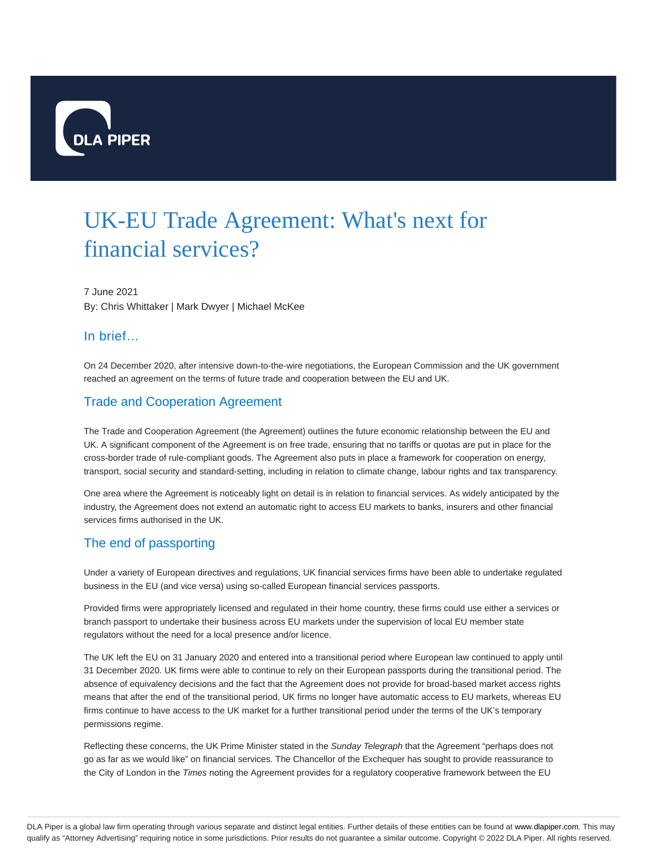

# UK-EU Trade Agreement: What's next for financial services?

7 June 2021 By: Chris Whittaker | Mark Dwyer | Michael McKee

# In brief…

On 24 December 2020, after intensive down-to-the-wire negotiations, the European Commission and the UK government reached an agreement on the terms of future trade and cooperation between the EU and UK.

# Trade and Cooperation Agreement

The Trade and Cooperation Agreement (the Agreement) outlines the future economic relationship between the EU and UK. A significant component of the Agreement is on free trade, ensuring that no tariffs or quotas are put in place for the cross-border trade of rule-compliant goods. The Agreement also puts in place a framework for cooperation on energy, transport, social security and standard-setting, including in relation to climate change, labour rights and tax transparency.

One area where the Agreement is noticeably light on detail is in relation to financial services. As widely anticipated by the industry, the Agreement does not extend an automatic right to access EU markets to banks, insurers and other financial services firms authorised in the UK.

# The end of passporting

Under a variety of European directives and regulations, UK financial services firms have been able to undertake regulated business in the EU (and vice versa) using so-called European financial services passports.

Provided firms were appropriately licensed and regulated in their home country, these firms could use either a services or branch passport to undertake their business across EU markets under the supervision of local EU member state regulators without the need for a local presence and/or licence.

The UK left the EU on 31 January 2020 and entered into a transitional period where European law continued to apply until 31 December 2020. UK firms were able to continue to rely on their European passports during the transitional period. The absence of equivalency decisions and the fact that the Agreement does not provide for broad-based market access rights means that after the end of the transitional period, UK firms no longer have automatic access to EU markets, whereas EU firms continue to have access to the UK market for a further transitional period under the terms of the UK's temporary permissions regime.

Reflecting these concerns, the UK Prime Minister stated in the Sunday Telegraph that the Agreement "perhaps does not go as far as we would like" on financial services. The Chancellor of the Exchequer has sought to provide reassurance to the City of London in the Times noting the Agreement provides for a regulatory cooperative framework between the EU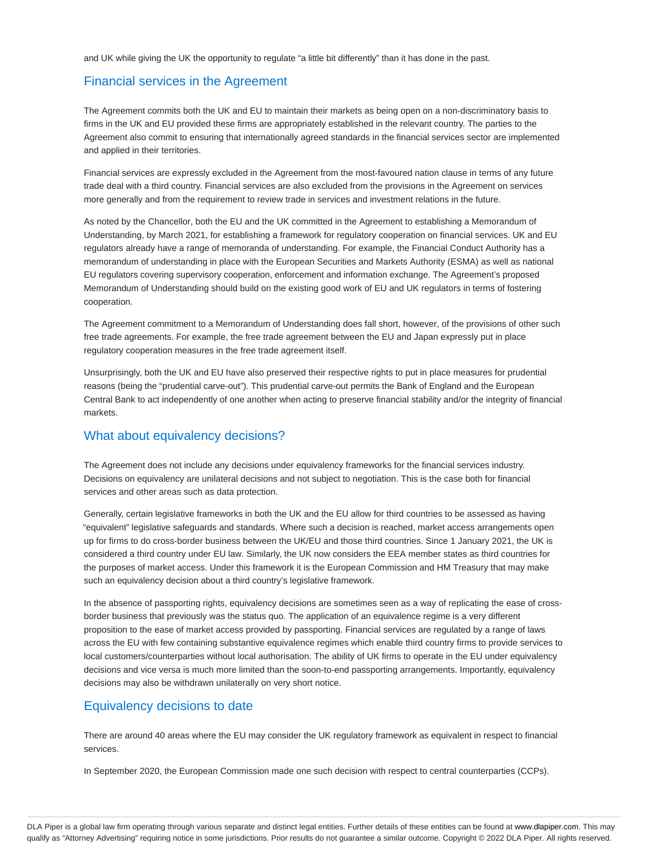and UK while giving the UK the opportunity to regulate "a little bit differently" than it has done in the past.

### Financial services in the Agreement

The Agreement commits both the UK and EU to maintain their markets as being open on a non-discriminatory basis to firms in the UK and EU provided these firms are appropriately established in the relevant country. The parties to the Agreement also commit to ensuring that internationally agreed standards in the financial services sector are implemented and applied in their territories.

Financial services are expressly excluded in the Agreement from the most-favoured nation clause in terms of any future trade deal with a third country. Financial services are also excluded from the provisions in the Agreement on services more generally and from the requirement to review trade in services and investment relations in the future.

As noted by the Chancellor, both the EU and the UK committed in the Agreement to establishing a Memorandum of Understanding, by March 2021, for establishing a framework for regulatory cooperation on financial services. UK and EU regulators already have a range of memoranda of understanding. For example, the Financial Conduct Authority has a memorandum of understanding in place with the European Securities and Markets Authority (ESMA) as well as national EU regulators covering supervisory cooperation, enforcement and information exchange. The Agreement's proposed Memorandum of Understanding should build on the existing good work of EU and UK regulators in terms of fostering cooperation.

The Agreement commitment to a Memorandum of Understanding does fall short, however, of the provisions of other such free trade agreements. For example, the free trade agreement between the EU and Japan expressly put in place regulatory cooperation measures in the free trade agreement itself.

Unsurprisingly, both the UK and EU have also preserved their respective rights to put in place measures for prudential reasons (being the "prudential carve-out"). This prudential carve-out permits the Bank of England and the European Central Bank to act independently of one another when acting to preserve financial stability and/or the integrity of financial markets.

### What about equivalency decisions?

The Agreement does not include any decisions under equivalency frameworks for the financial services industry. Decisions on equivalency are unilateral decisions and not subject to negotiation. This is the case both for financial services and other areas such as data protection.

Generally, certain legislative frameworks in both the UK and the EU allow for third countries to be assessed as having "equivalent" legislative safeguards and standards. Where such a decision is reached, market access arrangements open up for firms to do cross-border business between the UK/EU and those third countries. Since 1 January 2021, the UK is considered a third country under EU law. Similarly, the UK now considers the EEA member states as third countries for the purposes of market access. Under this framework it is the European Commission and HM Treasury that may make such an equivalency decision about a third country's legislative framework.

In the absence of passporting rights, equivalency decisions are sometimes seen as a way of replicating the ease of crossborder business that previously was the status quo. The application of an equivalence regime is a very different proposition to the ease of market access provided by passporting. Financial services are regulated by a range of laws across the EU with few containing substantive equivalence regimes which enable third country firms to provide services to local customers/counterparties without local authorisation. The ability of UK firms to operate in the EU under equivalency decisions and vice versa is much more limited than the soon-to-end passporting arrangements. Importantly, equivalency decisions may also be withdrawn unilaterally on very short notice.

# Equivalency decisions to date

There are around 40 areas where the EU may consider the UK regulatory framework as equivalent in respect to financial services.

In September 2020, the European Commission made one such decision with respect to central counterparties (CCPs).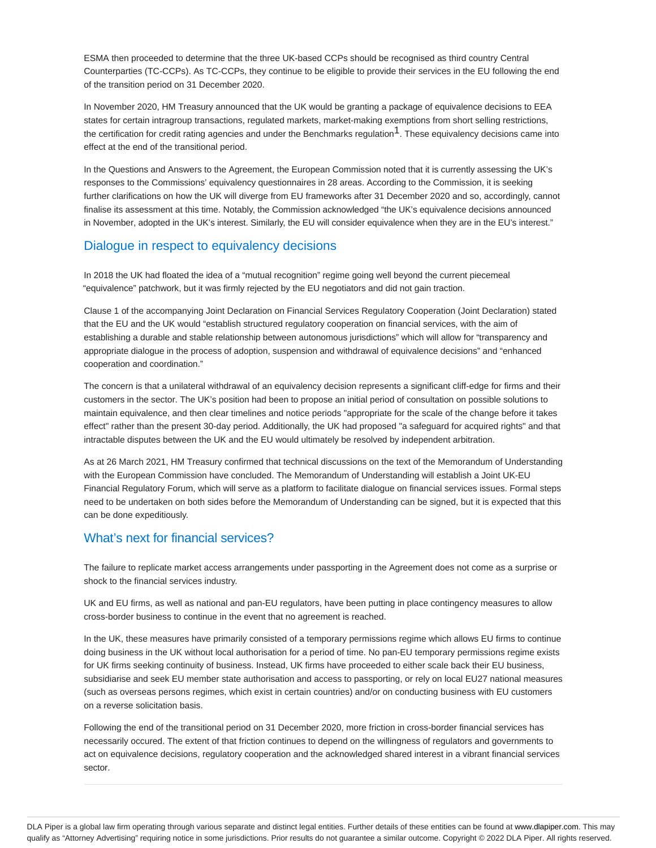ESMA then proceeded to determine that the three UK-based CCPs should be recognised as third country Central Counterparties (TC-CCPs). As TC-CCPs, they continue to be eligible to provide their services in the EU following the end of the transition period on 31 December 2020.

In November 2020, HM Treasury announced that the UK would be granting a package of equivalence decisions to EEA states for certain intragroup transactions, regulated markets, market-making exemptions from short selling restrictions, the certification for credit rating agencies and under the Benchmarks regulation<sup>1</sup>. These equivalency decisions came into effect at the end of the transitional period.

In the Questions and Answers to the Agreement, the European Commission noted that it is currently assessing the UK's responses to the Commissions' equivalency questionnaires in 28 areas. According to the Commission, it is seeking further clarifications on how the UK will diverge from EU frameworks after 31 December 2020 and so, accordingly, cannot finalise its assessment at this time. Notably, the Commission acknowledged "the UK's equivalence decisions announced in November, adopted in the UK's interest. Similarly, the EU will consider equivalence when they are in the EU's interest."

## Dialogue in respect to equivalency decisions

In 2018 the UK had floated the idea of a "mutual recognition" regime going well beyond the current piecemeal "equivalence" patchwork, but it was firmly rejected by the EU negotiators and did not gain traction.

Clause 1 of the accompanying Joint Declaration on Financial Services Regulatory Cooperation (Joint Declaration) stated that the EU and the UK would "establish structured regulatory cooperation on financial services, with the aim of establishing a durable and stable relationship between autonomous jurisdictions" which will allow for "transparency and appropriate dialogue in the process of adoption, suspension and withdrawal of equivalence decisions" and "enhanced cooperation and coordination."

The concern is that a unilateral withdrawal of an equivalency decision represents a significant cliff-edge for firms and their customers in the sector. The UK's position had been to propose an initial period of consultation on possible solutions to maintain equivalence, and then clear timelines and notice periods "appropriate for the scale of the change before it takes effect" rather than the present 30-day period. Additionally, the UK had proposed "a safeguard for acquired rights" and that intractable disputes between the UK and the EU would ultimately be resolved by independent arbitration.

As at 26 March 2021, HM Treasury confirmed that technical discussions on the text of the Memorandum of Understanding with the European Commission have concluded. The Memorandum of Understanding will establish a Joint UK-EU Financial Regulatory Forum, which will serve as a platform to facilitate dialogue on financial services issues. Formal steps need to be undertaken on both sides before the Memorandum of Understanding can be signed, but it is expected that this can be done expeditiously.

# What's next for financial services?

The failure to replicate market access arrangements under passporting in the Agreement does not come as a surprise or shock to the financial services industry.

UK and EU firms, as well as national and pan-EU regulators, have been putting in place contingency measures to allow cross-border business to continue in the event that no agreement is reached.

In the UK, these measures have primarily consisted of a temporary permissions regime which allows EU firms to continue doing business in the UK without local authorisation for a period of time. No pan-EU temporary permissions regime exists for UK firms seeking continuity of business. Instead, UK firms have proceeded to either scale back their EU business, subsidiarise and seek EU member state authorisation and access to passporting, or rely on local EU27 national measures (such as overseas persons regimes, which exist in certain countries) and/or on conducting business with EU customers on a reverse solicitation basis.

Following the end of the transitional period on 31 December 2020, more friction in cross-border financial services has necessarily occured. The extent of that friction continues to depend on the willingness of regulators and governments to act on equivalence decisions, regulatory cooperation and the acknowledged shared interest in a vibrant financial services sector.

DLA Piper is a global law firm operating through various separate and distinct legal entities. Further details of these entities can be found at www.dlapiper.com. This may qualify as "Attorney Advertising" requiring notice in some jurisdictions. Prior results do not guarantee a similar outcome. Copyright © 2022 DLA Piper. All rights reserved.